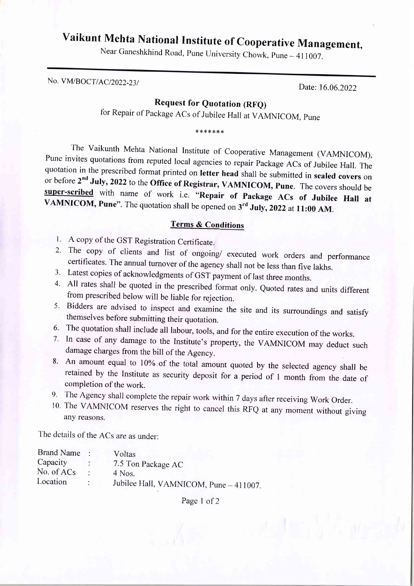## Vaikunt Mehta National Institute of Cooperative Management,

Near Ganeshkhind Road, Pune University Chowk, Pune – 411007.

No. VM/BOCT/AC/2022-23/<br>Date: 16.06.2022

## Request for Quotation (RFQ)

for Repair of Package ACs of Jubilee Hall at VAMNICOM, Pune

\*\*\*\*\*\*\*

The Vaikunth Mehta National Institute of Cooperative Management (VAMNICOM),<br>Pune invites quotations from reputed local agencies to repair Package ACs of Jubilee Hall. The<br>quotation in the prescribed format printed on **let** 

## Terms & Conditions

- 1. A copy of the GST Registration Certificate
- 2. The copy of clients and list of ongoing/ executed work orders and performance certificates. The annual turnover of the agency shall not be less than five lakhs.
- 3. Latest copies of acknowledgments of GST payment of last three months.
- Latest copies of acknowledgments of GST payment of last three months.<br>All rates shall be quoted in the prescribed format only. Quoted rates and units different<br>from prescribed below will be liable for rejection. 4.
- Bidders are advised to inspect and examine the site and its surroundings and satisfy themselves before submitting their quotation. 5.
- 6. The quotation shall include all labour, tools, and for the entire execution of the works.
- The quotation shall include all labour, tools, and for the entire execution of the works. In case of any damage to the Institute's property, the vAMNICOM may deduct such damage charges from the bill of the Agency. 7.
- 8. An amount equal to 10% of the total amount quoted by the selected agency shall be retained by the Institute as security deposit for a period of 1 month from the date of completion of the work.
- 
- 9. The Agency shall complete the repair work within 7 days after receiving Work Order.<br>10. The VAMNICOM reserves the right to cancel this RFQ at any moment without giving any reasons.

The details of the ACs are as under:

| Brand Name   |        | Voltas                                 |
|--------------|--------|----------------------------------------|
| Capacity     |        | 7.5 Ton Package AC                     |
| No. of $ACs$ |        | 4 Nos.                                 |
| Location     | $\sim$ | Jubilee Hall, VAMNICOM, Pune - 411007. |

Page 1 of 2